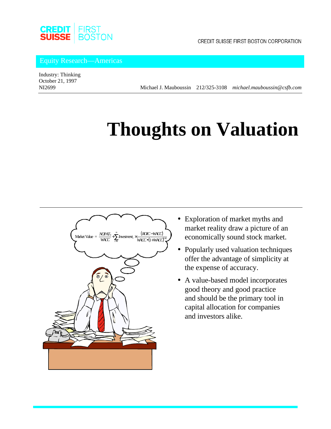

CREDIT SUISSE FIRST BOSTON CORPORATION

Equity Research—Americas

Industry: Thinking October 21, 1997

NI2699 Michael J. Mauboussin 212/325-3108 *michael.mauboussin@csfb.com*

# **Thoughts on Valuation**



- Exploration of market myths and market reality draw a picture of an economically sound stock market.
- Popularly used valuation techniques offer the advantage of simplicity at the expense of accuracy.
- A value-based model incorporates good theory and good practice and should be the primary tool in capital allocation for companies and investors alike.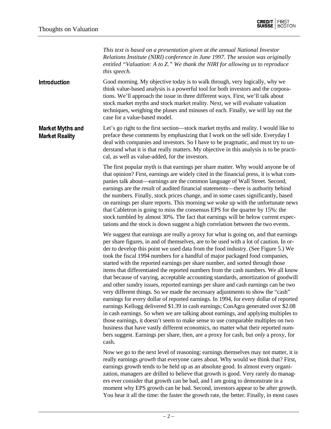*This text is based on a presentation given at the annual National Investor Relations Institute (NIRI) conference in June 1997. The session was originally entitled "Valuation: A to Z." We thank the NIRI for allowing us to reproduce this speech.*

Good morning. My objective today is to walk through, very logically, why we think value-based analysis is a powerful tool for both investors and the corporations. We'll approach the issue in three different ways. First, we'll talk about stock market myths and stock market reality. Next, we will evaluate valuation techniques, weighing the pluses and minuses of each. Finally, we will lay out the case for a value-based model. Introduction

Let's go right to the first section—stock market myths and reality. I would like to preface these comments by emphasizing that I work on the sell side. Everyday I deal with companies and investors. So I have to be pragmatic, and must try to understand what it is that really matters. My objective in this analysis is to be practical, as well as value-added, for the investors. Market Myths and Market Reality

> The first popular myth is that earnings per share matter. Why would anyone be of that opinion? First, earnings are widely cited in the financial press, it is what companies talk about—earnings are the common language of Wall Street. Second, earnings are the result of audited financial statements—there is authority behind the numbers. Finally, stock prices change, and in some cases significantly, based on earnings per share reports. This morning we woke up with the unfortunate news that Cabletron is going to miss the consensus EPS for the quarter by 15%: the stock tumbled by almost 30%. The fact that earnings will be below current expectations and the stock is down suggest a high correlation between the two events.

> We suggest that earnings are really a proxy for what is going on, and that earnings per share figures, in and of themselves, are to be used with a lot of caution. In order to develop this point we used data from the food industry. (See Figure 5.) We took the fiscal 1994 numbers for a handful of major packaged food companies, started with the reported earnings per share number, and sorted through those items that differentiated the reported numbers from the cash numbers. We all know that because of varying, acceptable accounting standards, amortization of goodwill and other sundry issues, reported earnings per share and cash earnings can be two very different things. So we made the necessary adjustments to show the "cash" earnings for every dollar of reported earnings. In 1994, for every dollar of reported earnings Kellogg delivered \$1.39 in cash earnings; ConAgra generated over \$2.08 in cash earnings. So when we are talking about earnings, and applying multiples to those earnings, it doesn't seem to make sense to use comparable multiples on two business that have vastly different economics, no matter what their reported numbers suggest. Earnings per share, then, are a proxy for cash, but *only* a proxy, for cash.

> Now we go to the next level of reasoning: earnings themselves may not matter, it is really earnings *growth* that everyone cares about. Why would we think that? First, earnings growth tends to be held up as an absolute good. In almost every organization, managers are drilled to believe that growth is good. Very rarely do managers ever consider that growth can be bad, and I am going to demonstrate in a moment why EPS growth can be bad. Second, investors appear to be after growth. You hear it all the time: the faster the growth rate, the better. Finally, in most cases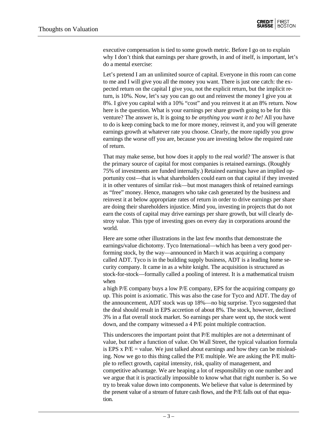executive compensation is tied to some growth metric. Before I go on to explain why I don't think that earnings per share growth, in and of itself, is important, let's do a mental exercise:

Let's pretend I am an unlimited source of capital. Everyone in this room can come to me and I will give you all the money you want. There is just one catch: the expected return on the capital I give you, not the explicit return, but the implicit return, is 10%. Now, let's say you can go out and reinvest the money I give you at 8%. I give you capital with a 10% "cost" and you reinvest it at an 8% return. Now here is the question. What is your earnings per share growth going to be for this venture? The answer is, It is going to *be anything you want it to be!* All you have to do is keep coming back to me for more money, reinvest it, and you will generate earnings growth at whatever rate you choose. Clearly, the more rapidly you grow earnings the worse off you are, because you are investing below the required rate of return.

That may make sense, but how does it apply to the real world? The answer is that the primary source of capital for most companies is retained earnings. (Roughly 75% of investments are funded internally.) Retained earnings have an implied opportunity cost—that is what shareholders could earn on that capital if they invested it in other ventures of similar risk—but most managers think of retained earnings as "free" money. Hence, managers who take cash generated by the business and reinvest it at below appropriate rates of return in order to drive earnings per share are doing their shareholders injustice. Mind you, investing in projects that do not earn the costs of capital may drive earnings per share growth, but will clearly destroy value. This type of investing goes on every day in corporations around the world.

Here are some other illustrations in the last few months that demonstrate the earnings/value dichotomy. Tyco International—which has been a very good performing stock, by the way—announced in March it was acquiring a company called ADT. Tyco is in the building supply business, ADT is a leading home security company. It came in as a white knight. The acquisition is structured as stock-for-stock—formally called a pooling of interest. It is a mathematical truism when

a high P/E company buys a low P/E company, EPS for the acquiring company go up. This point is axiomatic. This was also the case for Tyco and ADT. The day of the announcement, ADT stock was up 18%—no big surprise. Tyco suggested that the deal should result in EPS accretion of about 8%. The stock, however, declined 3% in a flat overall stock market. So earnings per share went up, the stock went down, and the company witnessed a 4 P/E point multiple contraction.

This underscores the important point that P/E multiples are not a determinant of value, but rather a function of value. On Wall Street, the typical valuation formula is EPS x  $P/E =$  value. We just talked about earnings and how they can be misleading. Now we go to this thing called the P/E multiple. We are asking the P/E multiple to reflect growth, capital intensity, risk, quality of management, and competitive advantage. We are heaping a lot of responsibility on one number and we argue that it is practically impossible to know what that right number is. So we try to break value down into components. We believe that value is determined by the present value of a stream of future cash flows, and the P/E falls out of that equation.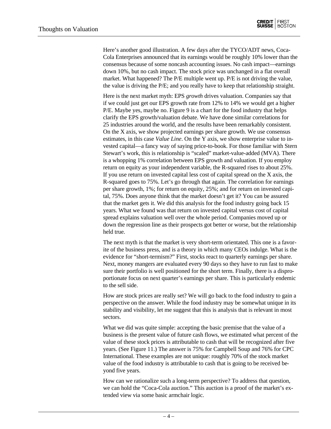Here's another good illustration. A few days after the TYCO/ADT news, Coca-Cola Enterprises announced that its earnings would be roughly 10% lower than the consensus because of some noncash accounting issues. No cash impact—earnings down 10%, but no cash impact. The stock price was unchanged in a flat overall market. What happened? The P/E multiple went up. P/E is not driving the value, the value is driving the P/E; and you really have to keep that relationship straight.

Here is the next market myth: EPS *growth* drives valuation. Companies say that if we could just get our EPS growth rate from 12% to 14% we would get a higher P/E. Maybe yes, maybe no. Figure 9 is a chart for the food industry that helps clarify the EPS growth/valuation debate. We have done similar correlations for 25 industries around the world, and the results have been remarkably consistent. On the X axis, we show projected earnings per share growth. We use consensus estimates, in this case *Value Line*. On the Y axis, we show enterprise value to invested capital—a fancy way of saying price-to-book. For those familiar with Stern Stewart's work, this is relationship is "scaled" market-value-added (MVA). There is a whopping 1% correlation between EPS growth and valuation. If you employ return on equity as your independent variable, the R-squared rises to about 25%. If you use return on invested capital less cost of capital spread on the X axis, the R-squared goes to 75%. Let's go through that again. The correlation for earnings per share growth, 1%; for return on equity, 25%; and for return on invested capital, 75%. Does anyone think that the market doesn't get it? You can be assured that the market gets it. We did this analysis for the food industry going back 15 years. What we found was that return on invested capital versus cost of capital spread explains valuation well over the whole period. Companies moved up or down the regression line as their prospects got better or worse, but the relationship held true.

The next myth is that the market is very short-term orientated. This one is a favorite of the business press, and is a theory in which many CEOs indulge. What is the evidence for "short-termism?" First, stocks react to quarterly earnings per share. Next, money mangers are evaluated every 90 days so they have to run fast to make sure their portfolio is well positioned for the short term. Finally, there is a disproportionate focus on next quarter's earnings per share. This is particularly endemic to the sell side.

How are stock prices are really set? We will go back to the food industry to gain a perspective on the answer. While the food industry may be somewhat unique in its stability and visibility, let me suggest that this is analysis that is relevant in most sectors.

What we did was quite simple: accepting the basic premise that the value of a business is the present value of future cash flows, we estimated what percent of the value of these stock prices is attributable to cash that will be recognized after five years. (See Figure 11.) The answer is 75% for Campbell Soup and 76% for CPC International. These examples are not unique: roughly 70% of the stock market value of the food industry is attributable to cash that is going to be received beyond five years.

How can we rationalize such a long-term perspective? To address that question, we can hold the "Coca-Cola auction." This auction is a proof of the market's extended view via some basic armchair logic.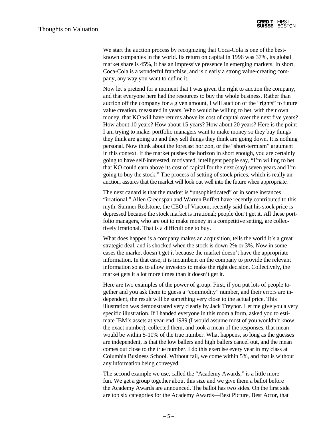We start the auction process by recognizing that Coca-Cola is one of the bestknown companies in the world. Its return on capital in 1996 was 37%, its global market share is 45%, it has an impressive presence in emerging markets. In short, Coca-Cola is a wonderful franchise, and is clearly a strong value-creating company, any way you want to define it.

Now let's pretend for a moment that I was given the right to auction the company, and that everyone here had the resources to buy the whole business. Rather than auction off the company for a given amount, I will auction of the "rights" to future value creation, measured in years. Who would be willing to bet, with their own money, that KO will have returns above its cost of capital over the next five years? How about 10 years? How about 15 years? How about 20 years? Here is the point I am trying to make: portfolio managers want to make money so they buy things they think are going up and they sell things they think are going down. It is nothing personal. Now think about the forecast horizon, or the "short-termism" argument in this context. If the market pushes the horizon in short enough, you are certainly going to have self-interested, motivated, intelligent people say, "I'm willing to bet that KO could earn above its cost of capital for the next (say) seven years and I'm going to buy the stock." The process of setting of stock prices, which is really an auction, assures that the market will look out well into the future when appropriate.

The next canard is that the market is "unsophisticated" or in some instances "irrational." Allen Greenspan and Warren Buffett have recently contributed to this myth. Sumner Redstone, the CEO of Viacom, recently said that his stock price is depressed because the stock market is irrational; people don't get it. All these portfolio managers, who are out to make money in a competitive setting, are collectively irrational. That is a difficult one to buy.

What does happen is a company makes an acquisition, tells the world it's a great strategic deal, and is shocked when the stock is down 2% or 3%. Now in some cases the market doesn't get it because the market doesn't have the appropriate information. In that case, it is incumbent on the company to provide the relevant information so as to allow investors to make the right decision. Collectively, the market gets it a lot more times than it doesn't get it.

Here are two examples of the power of group. First, if you put lots of people together and you ask them to guess a "commodity" number, and their errors are independent, the result will be something very close to the actual price. This illustration was demonstrated very clearly by Jack Treynor. Let me give you a very specific illustration. If I handed everyone in this room a form, asked you to estimate IBM's assets at year-end 1989 (I would assume most of you wouldn't know the exact number), collected them, and took a mean of the responses, that mean would be within 5-10% of the true number. What happens, so long as the guesses are independent, is that the low ballers and high ballers cancel out, and the mean comes out close to the true number. I do this exercise every year in my class at Columbia Business School. Without fail, we come within 5%, and that is without any information being conveyed.

The second example we use, called the "Academy Awards," is a little more fun. We get a group together about this size and we give them a ballot before the Academy Awards are announced. The ballot has two sides. On the first side are top six categories for the Academy Awards—Best Picture, Best Actor, that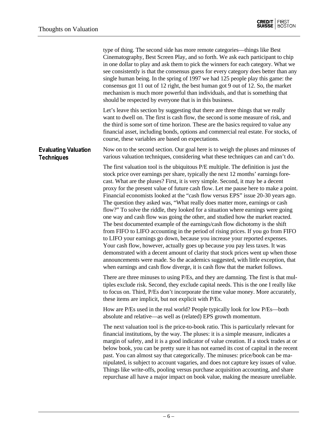|                                                  | type of thing. The second side has more remote categories—things like Best<br>Cinematography, Best Screen Play, and so forth. We ask each participant to chip<br>in one dollar to play and ask them to pick the winners for each category. What we<br>see consistently is that the consensus guess for every category does better than any<br>single human being. In the spring of 1997 we had 125 people play this game: the<br>consensus got 11 out of 12 right, the best human got 9 out of 12. So, the market<br>mechanism is much more powerful than individuals, and that is something that<br>should be respected by everyone that is in this business.                                                                                                                                                                                                                                                                                                                                                                                                                                                                                                                                                                                                                             |
|--------------------------------------------------|--------------------------------------------------------------------------------------------------------------------------------------------------------------------------------------------------------------------------------------------------------------------------------------------------------------------------------------------------------------------------------------------------------------------------------------------------------------------------------------------------------------------------------------------------------------------------------------------------------------------------------------------------------------------------------------------------------------------------------------------------------------------------------------------------------------------------------------------------------------------------------------------------------------------------------------------------------------------------------------------------------------------------------------------------------------------------------------------------------------------------------------------------------------------------------------------------------------------------------------------------------------------------------------------|
|                                                  | Let's leave this section by suggesting that there are three things that we really<br>want to dwell on. The first is cash flow, the second is some measure of risk, and<br>the third is some sort of time horizon. These are the basics required to value any<br>financial asset, including bonds, options and commercial real estate. For stocks, of<br>course, these variables are based on expectations.                                                                                                                                                                                                                                                                                                                                                                                                                                                                                                                                                                                                                                                                                                                                                                                                                                                                                 |
| <b>Evaluating Valuation</b><br><b>Techniques</b> | Now on to the second section. Our goal here is to weigh the pluses and minuses of<br>various valuation techniques, considering what these techniques can and can't do.                                                                                                                                                                                                                                                                                                                                                                                                                                                                                                                                                                                                                                                                                                                                                                                                                                                                                                                                                                                                                                                                                                                     |
|                                                  | The first valuation tool is the ubiquitous P/E multiple. The definition is just the<br>stock price over earnings per share, typically the next 12 months' earnings fore-<br>cast. What are the pluses? First, it is very simple. Second, it may be a decent<br>proxy for the present value of future cash flow. Let me pause here to make a point.<br>Financial economists looked at the "cash flow versus EPS" issue 20-30 years ago.<br>The question they asked was, "What really does matter more, earnings or cash<br>flow?" To solve the riddle, they looked for a situation where earnings were going<br>one way and cash flow was going the other, and studied how the market reacted.<br>The best documented example of the earnings/cash flow dichotomy is the shift<br>from FIFO to LIFO accounting in the period of rising prices. If you go from FIFO<br>to LIFO your earnings go down, because you increase your reported expenses.<br>Your cash flow, however, actually goes up because you pay less taxes. It was<br>demonstrated with a decent amount of clarity that stock prices went up when those<br>announcements were made. So the academics suggested, with little exception, that<br>when earnings and cash flow diverge, it is cash flow that the market follows. |
|                                                  | There are three minuses to using P/Es, and they are damning. The first is that mul-<br>tiples exclude risk. Second, they exclude capital needs. This is the one I really like<br>to focus on. Third, P/Es don't incorporate the time value money. More accurately,<br>these items are implicit, but not explicit with P/Es.                                                                                                                                                                                                                                                                                                                                                                                                                                                                                                                                                                                                                                                                                                                                                                                                                                                                                                                                                                |
|                                                  | How are P/Es used in the real world? People typically look for low P/Es—both<br>absolute and relative—as well as (related) EPS growth momentum.                                                                                                                                                                                                                                                                                                                                                                                                                                                                                                                                                                                                                                                                                                                                                                                                                                                                                                                                                                                                                                                                                                                                            |
|                                                  | The next valuation tool is the price-to-book ratio. This is particularly relevant for<br>financial institutions, by the way. The pluses: it is a simple measure, indicates a<br>margin of safety, and it is a good indicator of value creation. If a stock trades at or<br>below book, you can be pretty sure it has not earned its cost of capital in the recent<br>past. You can almost say that categorically. The minuses: price/book can be ma-<br>nipulated, is subject to account vagaries, and does not capture key issues of value.<br>Things like write-offs, pooling versus purchase acquisition accounting, and share<br>repurchase all have a major impact on book value, making the measure unreliable.                                                                                                                                                                                                                                                                                                                                                                                                                                                                                                                                                                      |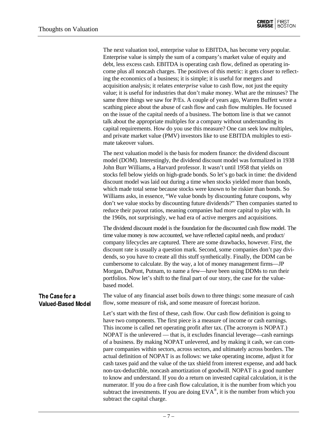|                                             | The next valuation tool, enterprise value to EBITDA, has become very popular.<br>Enterprise value is simply the sum of a company's market value of equity and<br>debt, less excess cash. EBITDA is operating cash flow, defined as operating in-<br>come plus all noncash charges. The positives of this metric: it gets closer to reflect-<br>ing the economics of a business; it is simple; it is useful for mergers and<br>acquisition analysis; it relates <i>enterprise</i> value to cash flow, not just the equity<br>value; it is useful for industries that don't make money. What are the minuses? The<br>same three things we saw for P/Es. A couple of years ago, Warren Buffett wrote a<br>scathing piece about the abuse of cash flow and cash flow multiples. He focused<br>on the issue of the capital needs of a business. The bottom line is that we cannot<br>talk about the appropriate multiples for a company without understanding its<br>capital requirements. How do you use this measure? One can seek low multiples,<br>and private market value (PMV) investors like to use EBITDA multiples to esti-<br>mate takeover values. |
|---------------------------------------------|-----------------------------------------------------------------------------------------------------------------------------------------------------------------------------------------------------------------------------------------------------------------------------------------------------------------------------------------------------------------------------------------------------------------------------------------------------------------------------------------------------------------------------------------------------------------------------------------------------------------------------------------------------------------------------------------------------------------------------------------------------------------------------------------------------------------------------------------------------------------------------------------------------------------------------------------------------------------------------------------------------------------------------------------------------------------------------------------------------------------------------------------------------------|
|                                             | The next valuation model is the basis for modern finance: the dividend discount<br>model (DOM). Interestingly, the dividend discount model was formalized in 1938<br>John Burr Williams, a Harvard professor. It wasn't until 1958 that yields on<br>stocks fell below yields on high-grade bonds. So let's go back in time: the dividend<br>discount model was laid out during a time when stocks yielded more than bonds,<br>which made total sense because stocks were known to be riskier than bonds. So<br>Williams asks, in essence, "We value bonds by discounting future coupons, why<br>don't we value stocks by discounting future dividends?" Then companies started to<br>reduce their payout ratios, meaning companies had more capital to play with. In<br>the 1960s, not surprisingly, we had era of active mergers and acquisitions.                                                                                                                                                                                                                                                                                                      |
|                                             | The dividend discount model is the foundation for the discounted cash flow model. The<br>time value money is now accounted, we have reflected capital needs, and product/<br>company lifecycles are captured. There are some drawbacks, however. First, the<br>discount rate is usually a question mark. Second, some companies don't pay divi-<br>dends, so you have to create all this stuff synthetically. Finally, the DDM can be<br>cumbersome to calculate. By the way, a lot of money management firms—JP<br>Morgan, DuPont, Putnam, to name a few-have been using DDMs to run their<br>portfolios. Now let's shift to the final part of our story, the case for the value-<br>based model.                                                                                                                                                                                                                                                                                                                                                                                                                                                        |
| The Case for a<br><b>Valued-Based Model</b> | The value of any financial asset boils down to three things: some measure of cash<br>flow, some measure of risk, and some measure of forecast horizon.                                                                                                                                                                                                                                                                                                                                                                                                                                                                                                                                                                                                                                                                                                                                                                                                                                                                                                                                                                                                    |
|                                             | Let's start with the first of these, cash flow. Our cash flow definition is going to<br>have two components. The first piece is a measure of income or cash earnings.<br>This income is called net operating profit after tax. (The acronym is NOPAT.)<br>NOPAT is the unlevered — that is, it excludes financial leverage—cash earnings<br>of a business. By making NOPAT unlevered, and by making it cash, we can com-<br>pare companies within sectors, across sectors, and ultimately across borders. The<br>actual definition of NOPAT is as follows: we take operating income, adjust it for<br>cash taxes paid and the value of the tax shield from interest expense, and add back<br>non-tax-deductible, noncash amortization of goodwill. NOPAT is a good number<br>to know and understand. If you do a return on invested capital calculation, it is the<br>numerator. If you do a free cash flow calculation, it is the number from which you<br>subtract the investments. If you are doing $EVA^{\circ}$ , it is the number from which you<br>subtract the capital charge.                                                                    |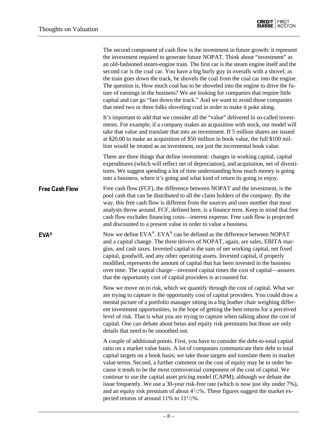|                       | The second component of cash flow is the investment in future growth: it represent<br>the investment required to generate future NOPAT. Think about "investment" as<br>an old-fashioned steam-engine train. The first car is the steam engine itself and the<br>second car is the coal car. You have a big burly guy in overalls with a shovel; as<br>the train goes down the track, he shovels the coal from the coal car into the engine.<br>The question is, How much coal has to be shoveled into the engine to drive the fu-<br>ture of earnings in the business? We are looking for companies that require little<br>capital and can go "fast down the track." And we want to avoid those companies<br>that need two or three folks shoveling coal in order to make it poke along. |
|-----------------------|------------------------------------------------------------------------------------------------------------------------------------------------------------------------------------------------------------------------------------------------------------------------------------------------------------------------------------------------------------------------------------------------------------------------------------------------------------------------------------------------------------------------------------------------------------------------------------------------------------------------------------------------------------------------------------------------------------------------------------------------------------------------------------------|
|                       | It's important to add that we consider all the "value" delivered in so-called invest-<br>ments. For example, if a company makes an acquisition with stock, our model will<br>take that value and translate that into an investment. If 5 million shares are issued<br>at \$20.00 to make an acquisition of \$50 million in book value, the full \$100 mil-<br>lion would be treated as an investment, not just the incremental book value.                                                                                                                                                                                                                                                                                                                                               |
|                       | There are three things that define investment: changes in working capital, capital<br>expenditures (which will reflect net of depreciation), and acquisition, net of divesti-<br>tures. We suggest spending a lot of time understanding how much money is going<br>into a business, where it's going and what kind of return its going to enjoy.                                                                                                                                                                                                                                                                                                                                                                                                                                         |
| <b>Free Cash Flow</b> | Free cash flow (FCF), the difference between NOPAT and the investment, is the<br>pool cash that can be distributed to all the claim holders of the company. By the<br>way, this free cash flow is different from the sources and uses number that most<br>analysts throw around. FCF, defined here, is a finance term. Keep in mind that free<br>cash flow excludes financing costs—interest expense. Free cash flow is projected<br>and discounted to a present value in order to value a business.                                                                                                                                                                                                                                                                                     |
| <b>EVA®</b>           | Now we define EVA®. EVA® can be defined as the difference between NOPAT<br>and a capital change. The three drivers of NOPAT, again, are sales, EBITA mar-<br>gins, and cash taxes. Invested capital is the sum of net working capital, net fixed<br>capital, goodwill, and any other operating assets. Invested capital, if properly<br>modified, represents the amount of capital that has been invested in the business<br>over time. The capital charge—invested capital times the cost of capital—assures<br>that the opportunity cost of capital providers is accounted for.                                                                                                                                                                                                        |
|                       | Now we move on to risk, which we quantify through the cost of capital. What we<br>are trying to capture is the opportunity cost of capital providers. You could draw a<br>mental picture of a portfolio manager sitting in a big leather chair weighing differ-<br>ent investment opportunities, in the hope of getting the best returns for a perceived<br>level of risk. That is what you are trying to capture when talking about the cost of<br>capital. One can debate about betas and equity risk premiums but those are only<br>details that need to be smoothed out.                                                                                                                                                                                                             |
|                       | A couple of additional points. First, you have to consider the debt-to-total capital<br>ratio on a market value basis. A lot of companies communicate their debt to total<br>capital targets on a book basis; we take those targets and translate them in market<br>value terms. Second, a further comment on the cost of equity may be in order be-<br>cause it tends to be the most controversial component of the cost of capital. We<br>continue to use the capital asset pricing model (CAPM), although we debate the<br>issue frequently. We use a 30-year risk-free rate (which is now just shy under 7%),<br>and an equity risk premium of about $4^{1}/2\%$ . These figures suggest the market ex-<br>pected returns of around 11% to $11^{1/2\%}$ .                            |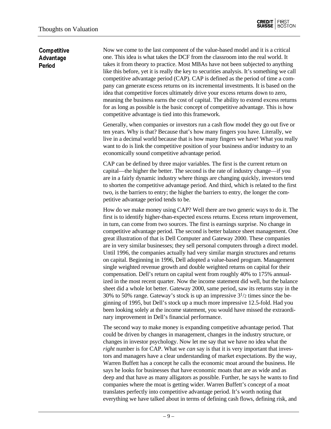#### **Competitive** Advantage Period

Now we come to the last component of the value-based model and it is a critical one. This idea is what takes the DCF from the classroom into the real world. It takes it from theory to practice. Most MBAs have not been subjected to anything like this before, yet it is really the key to securities analysis. It's something we call competitive advantage period (CAP). CAP is defined as the period of time a company can generate excess returns on its incremental investments. It is based on the idea that competitive forces ultimately drive your excess returns down to zero, meaning the business earns the cost of capital. The ability to extend excess returns for as long as possible is the basic concept of competitive advantage. This is how competitive advantage is tied into this framework.

Generally, when companies or investors run a cash flow model they go out five or ten years. Why is that? Because that's how many fingers you have. Literally, we live in a decimal world because that is how many fingers we have! What you really want to do is link the competitive position of your business and/or industry to an economically sound competitive advantage period.

CAP can be defined by three major variables. The first is the current return on capital—the higher the better. The second is the rate of industry change—if you are in a fairly dynamic industry where things are changing quickly, investors tend to shorten the competitive advantage period. And third, which is related to the first two, is the barriers to entry; the higher the barriers to entry, the longer the competitive advantage period tends to be.

How do we make money using CAP? Well there are two generic ways to do it. The first is to identify higher-than-expected excess returns. Excess return improvement, in turn, can come from two sources. The first is earnings surprise. No change in competitive advantage period. The second is better balance sheet management. One great illustration of that is Dell Computer and Gateway 2000. These companies are in very similar businesses; they sell personal computers through a direct model. Until 1996, the companies actually had very similar margin structures and returns on capital. Beginning in 1996, Dell adopted a value-based program. Management single weighted revenue growth and double weighted returns on capital for their compensation. Dell's return on capital went from roughly 40% to 175% annualized in the most recent quarter. Now the income statement did well, but the balance sheet did a whole lot better. Gateway 2000, same period, saw its returns stay in the 30% to 50% range. Gateway's stock is up an impressive  $3\frac{1}{2}$  times since the beginning of 1995, but Dell's stock up a much more impressive 12.5-fold. Had you been looking solely at the income statement, you would have missed the extraordinary improvement in Dell's financial performance.

The second way to make money is expanding competitive advantage period. That could be driven by changes in management, changes in the industry structure, or changes in investor psychology. Now let me say that we have no idea what the *right* number is for CAP. What we *can* say is that it is very important that investors and managers have a clear understanding of market expectations. By the way, Warren Buffett has a concept he calls the economic moat around the business. He says he looks for businesses that have economic moats that are as wide and as deep and that have as many alligators as possible. Further, he says he wants to find companies where the moat is getting wider. Warren Buffett's concept of a moat translates perfectly into competitive advantage period. It's worth noting that everything we have talked about in terms of defining cash flows, defining risk, and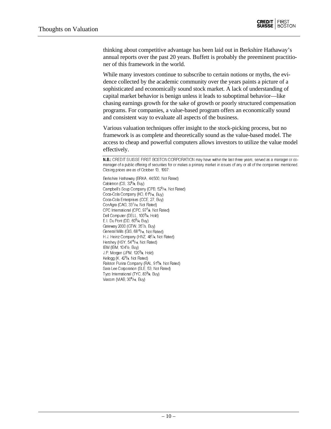

thinking about competitive advantage has been laid out in Berkshire Hathaway's annual reports over the past 20 years. Buffett is probably the preeminent practitioner of this framework in the world.

While many investors continue to subscribe to certain notions or myths, the evidence collected by the academic community over the years paints a picture of a sophisticated and economically sound stock market. A lack of understanding of capital market behavior is benign unless it leads to suboptimal behavior—like chasing earnings growth for the sake of growth or poorly structured compensation programs. For companies, a value-based program offers an economically sound and consistent way to evaluate all aspects of the business.

Various valuation techniques offer insight to the stock-picking process, but no framework is as complete and theoretically sound as the value-based model. The access to cheap and powerful computers allows investors to utilize the value model effectively.

N.B.: CREDIT SUISSE FIRST BOSTON CORPORATION may have within the last three years, served as a manager or comanager of a public offering of securities for or makes a primary market in issues of any or all of the companies mentioned. Closing prices are as of October 13, 1997:

Berkshire Hathaway (BRKA, 44,500, Not Rated) Cabletron (CS, 32<sup>5</sup>/8, Buy) Campbell's Soup Company (CPB, 523/16, Not Rated) Coca-Cola Company (KO, 61<sup>5</sup>/16, Buy) Coca-Cola Enterprises (CCE, 27, Buy) ConAgra (CAG, 33<sup>1</sup>/16, Not Rated) CPC International (CPC, 977/8, Not Rated) Dell Computer (DELL, 100<sup>3</sup>/4, Hold) E.I. Du Pont (DD, 60<sup>3</sup> /4, Buy) Gateway 2000 (GTW, 35<sup>1</sup>/2, Buy) General Mills (GIS, 68<sup>15</sup>/16, Not Rated) H.J. Heinz Company (HNZ, 48<sup>1</sup>/4, Not Rated) Hershey (HSY, 54<sup>15</sup>/16, Not Rated) IBM (IBM, 104<sup>1</sup> /2, Buy) J.P. Morgan (JPM, 120<sup>3</sup>/8, Hold) Kellogg (K, 42<sup>3</sup>/<sub>4</sub>, Not Rated) Ralston Purina Company (RAL, 91<sup>5</sup>/8, Not Rated) Sara Lee Corporation (SLE, 53, Not Rated) Tyco International (TYC, 833/8, Buy) Viacom (VIAB, 30<sup>9</sup>/16, Buy)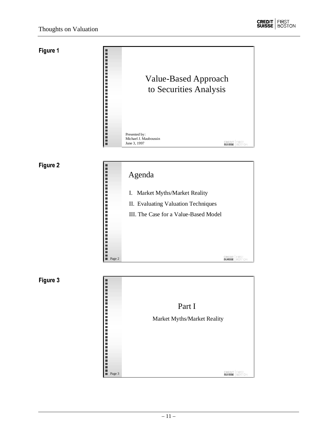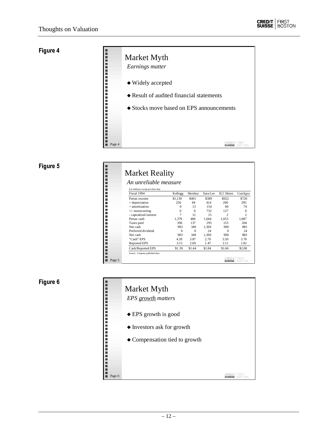# Figure 4

|        | Market Myth<br>Earnings matter                     |
|--------|----------------------------------------------------|
|        | $\blacklozenge$ Widely accepted                    |
|        | $\triangle$ Result of audited financial statements |
|        | $\triangle$ Stocks move based on EPS announcements |
|        |                                                    |
|        |                                                    |
| Page 4 |                                                    |

# Figure 5

|        | <b>Market Reality</b>                 |          |          |          |                |                        |
|--------|---------------------------------------|----------|----------|----------|----------------|------------------------|
|        | An unreliable measure                 |          |          |          |                |                        |
|        | \$ in millions, except per share data |          |          |          |                |                        |
|        | Fiscal 1994                           | Kellogg  | Hershey  | Sara Lee | H.J. Heinz     | ConAgra                |
|        | Pretax income                         | \$1,130  | \$401    | \$389    | \$922          | \$720                  |
|        | + depreciation                        | 256      | 84       | 414      | 200            | 295                    |
|        | + amortization                        | $\Omega$ | 13       | 154      | 60             | 74                     |
|        | $+/-$ nonrecurring                    | $\Omega$ | $\Omega$ | 732      | 127            | $\Omega$               |
|        | - capitalized interest                | 7        | 12       | 15       | $\mathfrak{D}$ | 2                      |
|        | Pretax cash                           | 1,379    | 486      | 1.664    | 1.053          | 1,087                  |
|        | Taxes paid                            | 396      | 137      | 295      | 153            | 204                    |
|        | Net cash                              | 983      | 349      | 1.369    | 900            | 883                    |
|        | Preferred dividend                    | $\Omega$ | $\Omega$ | 24       | $\Omega$       | 24                     |
|        | Net cash                              | 983      | 349      | 1,369    | 900            | 883                    |
|        | "Cash" EPS                            | 4.39     | 3.87     | 2.70     | 3.50           | 3.76                   |
|        | <b>Reported EPS</b>                   | 3.15     | 2.69     | 1.47     | 2.11           | 1.81                   |
|        | Cash/Reported EPS                     | \$1.39   | \$1.44   | \$1.84   | \$1.66         | \$2.08                 |
| Page 5 | Source: Company published data.       |          |          |          | <b>SUISSE</b>  | <b>FIRST</b><br>BOSTON |

![](_page_11_Figure_7.jpeg)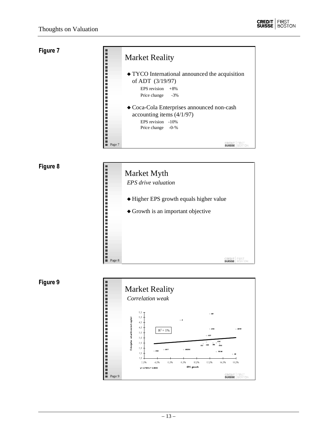![](_page_12_Figure_2.jpeg)

|        | <b>Market Reality</b>                                                                                                             |
|--------|-----------------------------------------------------------------------------------------------------------------------------------|
|        | $\blacklozenge$ TYCO International announced the acquisition<br>of ADT (3/19/97)<br>EPS revision $+8\%$<br>Price change<br>$-3\%$ |
|        | ◆ Coca-Cola Enterprises announced non-cash<br>accounting items $(4/1/97)$<br>EPS revision -10%<br>Price change -0-%               |
| Page 7 |                                                                                                                                   |

|        | Market Myth<br><b>EPS</b> drive valuation                                               |
|--------|-----------------------------------------------------------------------------------------|
|        | • Higher EPS growth equals higher value<br>$\triangle$ Growth is an important objective |
|        |                                                                                         |
| Page 8 |                                                                                         |

![](_page_12_Figure_6.jpeg)

![](_page_12_Figure_7.jpeg)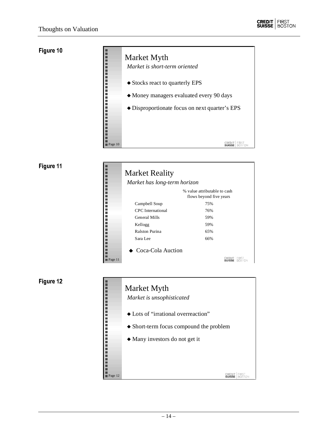|         | Market Myth<br>Market is short-term oriented   |
|---------|------------------------------------------------|
|         | • Stocks react to quarterly EPS                |
|         | • Money managers evaluated every 90 days       |
|         | • Disproportionate focus on next quarter's EPS |
|         |                                                |
|         |                                                |
| Page 10 |                                                |

# Figure 11

|         | <b>Market Reality</b>        |                                                         |
|---------|------------------------------|---------------------------------------------------------|
|         | Market has long-term horizon |                                                         |
|         |                              | % value attributable to cash<br>flows beyond five years |
|         | Campbell Soup                | 75%                                                     |
|         | CPC International            | 76%                                                     |
|         | General Mills                | 59%                                                     |
|         | Kellogg                      | 59%                                                     |
|         | Ralston Purina               | 65%                                                     |
|         | Sara Lee                     | 66%                                                     |
|         | $\bullet$ Coca-Cola Auction  |                                                         |
| Page 11 |                              |                                                         |

![](_page_13_Figure_7.jpeg)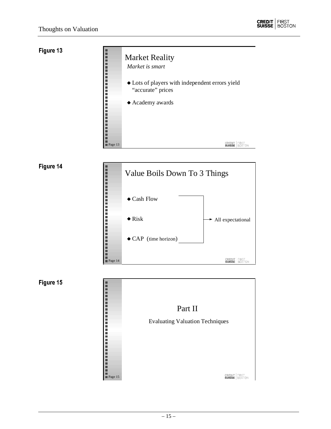![](_page_14_Figure_2.jpeg)

![](_page_14_Figure_3.jpeg)

![](_page_14_Figure_4.jpeg)

![](_page_14_Figure_5.jpeg)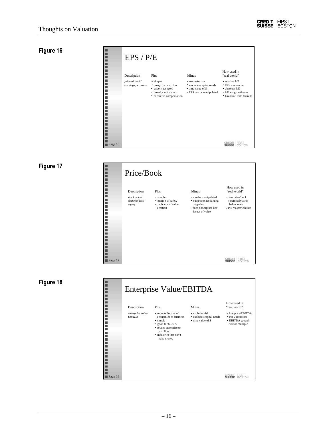| г<br>ш                     | EPS / P/E                             |                                                                                                             |                                                                                                       |                                                                                                                              |
|----------------------------|---------------------------------------|-------------------------------------------------------------------------------------------------------------|-------------------------------------------------------------------------------------------------------|------------------------------------------------------------------------------------------------------------------------------|
| ш<br>г<br>ш                | Description                           | Plus                                                                                                        | Minus                                                                                                 | How used in<br>"real world"                                                                                                  |
| п<br>п<br>п<br>٠<br>п<br>ш | price of stock/<br>earnings per share | • simple<br>• proxy for cash flow<br>• widely accepted<br>• broadly articulated<br>• executive compensation | $\bullet$ excludes risk<br>• excludes capital needs<br>• time value of \$<br>• EPS can be manipulated | $\bullet$ relative P/E<br>$\cdot$ EPS momentum<br>$\bullet$ absolute $P/E$<br>◆ P/E vs. growth rate<br>• Graham/Dodd formula |
| $\blacksquare$ Page 16     |                                       |                                                                                                             |                                                                                                       | <b>SUISSE</b><br>BÓSTÓN                                                                                                      |

# Figure 17

|                       | Price/Book                                             |                                                                            |                                                                                                                   |                                                                                                             |
|-----------------------|--------------------------------------------------------|----------------------------------------------------------------------------|-------------------------------------------------------------------------------------------------------------------|-------------------------------------------------------------------------------------------------------------|
| г<br>г<br>г<br>п<br>г | Description<br>stock price/<br>shareholders'<br>equity | Plus<br>• simple<br>• margin of safety<br>• indicator of value<br>creation | Minus<br>• can be manipulated<br>• subject to accounting<br>vagaries<br>• does not capture key<br>issues of value | How used in<br>"real world"<br>• low price/book<br>(preferably at or<br>below one)<br>• P/E vs. growth rate |
| Page 17               |                                                        |                                                                            |                                                                                                                   | FIRST<br>CREDIT<br><b>BOSTON</b><br><b>SUISSE</b>                                                           |

![](_page_15_Figure_7.jpeg)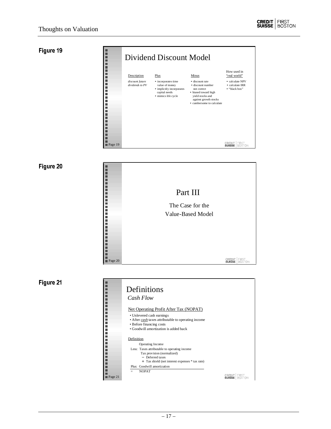|         | Dividend Discount Model            |                                                                                                            |                                                                                                                                                       |                                                     |  |  |
|---------|------------------------------------|------------------------------------------------------------------------------------------------------------|-------------------------------------------------------------------------------------------------------------------------------------------------------|-----------------------------------------------------|--|--|
|         | Description                        | Plus                                                                                                       | Minus                                                                                                                                                 | How used in<br>"real world"                         |  |  |
|         | discount future<br>dividends to PV | • incorporates time<br>value of money<br>• implicitly incorporates<br>capital needs<br>· mimics life cycle | • discount rate<br>• discount number<br>not correct<br>• biased toward high<br>vield stocks and<br>against growth stocks<br>• cumbersome to calculate | • calculate NPV<br>• calculate IRR<br>• "black box" |  |  |
| Page 19 |                                    |                                                                                                            |                                                                                                                                                       | SUISSE                                              |  |  |

![](_page_16_Figure_5.jpeg)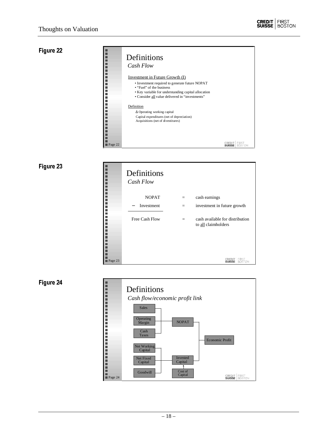|         | Definitions<br>Cash Flow                                                                                                                                                                                                |        |  |
|---------|-------------------------------------------------------------------------------------------------------------------------------------------------------------------------------------------------------------------------|--------|--|
|         | Investment in Future Growth (I)<br>• Investment required to generate future NOPAT<br>• "Fuel" of the business<br>• Key variable for understanding capital allocation<br>• Consider all value delivered in "investments" |        |  |
|         | Definition<br>$\Delta$ Operating working capital<br>Capital expenditures (net of depreciation)<br>Acquisitions (net of divestitures)                                                                                    |        |  |
| Page 22 |                                                                                                                                                                                                                         | SUISSE |  |

|         | Definitions<br>Cash Flow |     |                                                        |
|---------|--------------------------|-----|--------------------------------------------------------|
|         | <b>NOPAT</b>             |     | cash earnings                                          |
|         | Investment               | $=$ | investment in future growth                            |
|         | Free Cash Flow           |     | cash available for distribution<br>to all claimholders |
| Page 23 |                          |     | FIRST                                                  |

![](_page_17_Figure_6.jpeg)

![](_page_17_Figure_7.jpeg)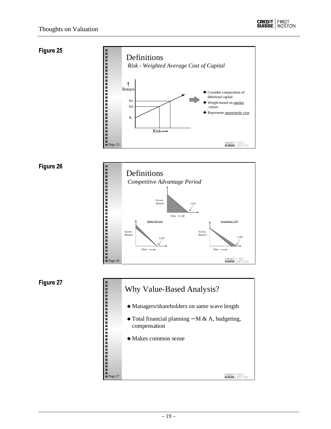![](_page_18_Picture_1.jpeg)

![](_page_18_Figure_2.jpeg)

![](_page_18_Figure_3.jpeg)

![](_page_18_Figure_5.jpeg)

![](_page_18_Figure_7.jpeg)